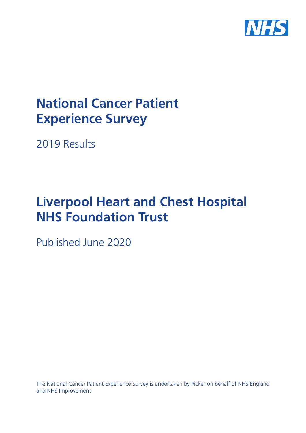

# **National Cancer Patient Experience Survey**

2019 Results

# **Liverpool Heart and Chest Hospital NHS Foundation Trust**

Published June 2020

The National Cancer Patient Experience Survey is undertaken by Picker on behalf of NHS England and NHS Improvement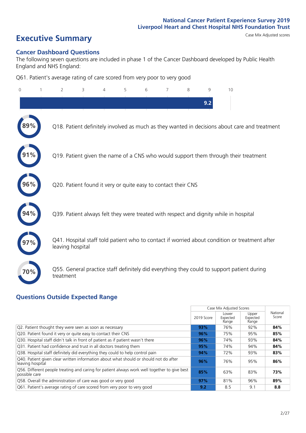# **Executive Summary** Case Mix Adjusted scores

#### **Cancer Dashboard Questions**

The following seven questions are included in phase 1 of the Cancer Dashboard developed by Public Health England and NHS England:

Q61. Patient's average rating of care scored from very poor to very good

| $\Omega$ | 2                                                             | 3 | $\overline{4}$ | 5 | 6 | 7 | 8 | 9   | 10                                                                                            |  |
|----------|---------------------------------------------------------------|---|----------------|---|---|---|---|-----|-----------------------------------------------------------------------------------------------|--|
|          |                                                               |   |                |   |   |   |   | 9.2 |                                                                                               |  |
|          |                                                               |   |                |   |   |   |   |     | Q18. Patient definitely involved as much as they wanted in decisions about care and treatment |  |
|          |                                                               |   |                |   |   |   |   |     | Q19. Patient given the name of a CNS who would support them through their treatment           |  |
| 96%      | Q20. Patient found it very or quite easy to contact their CNS |   |                |   |   |   |   |     |                                                                                               |  |
|          |                                                               |   |                |   |   |   |   |     | Q39. Patient always felt they were treated with respect and dignity while in hospital         |  |
|          | leaving hospital                                              |   |                |   |   |   |   |     | Q41. Hospital staff told patient who to contact if worried about condition or treatment after |  |
| 70%      | treatment                                                     |   |                |   |   |   |   |     | Q55. General practice staff definitely did everything they could to support patient during    |  |

### **Questions Outside Expected Range**

|                                                                                                               |            | Case Mix Adjusted Scores   |                            |                   |
|---------------------------------------------------------------------------------------------------------------|------------|----------------------------|----------------------------|-------------------|
|                                                                                                               | 2019 Score | Lower<br>Expected<br>Range | Upper<br>Expected<br>Range | National<br>Score |
| Q2. Patient thought they were seen as soon as necessary                                                       | 93%        | 76%                        | 92%                        | 84%               |
| Q20. Patient found it very or quite easy to contact their CNS                                                 | 96%        | 75%                        | 95%                        | 85%               |
| Q30. Hospital staff didn't talk in front of patient as if patient wasn't there                                | 96%        | 74%                        | 93%                        | 84%               |
| Q31. Patient had confidence and trust in all doctors treating them                                            | 95%        | 74%                        | 94%                        | 84%               |
| Q38. Hospital staff definitely did everything they could to help control pain                                 | 94%        | 72%                        | 93%                        | 83%               |
| Q40. Patient given clear written information about what should or should not do after<br>leaving hospital     | 96%        | 76%                        | 95%                        | 86%               |
| Q56. Different people treating and caring for patient always work well together to give best<br>possible care | 85%        | 63%                        | 83%                        | 73%               |
| Q58. Overall the administration of care was good or very good                                                 | 97%        | 81%                        | 96%                        | 89%               |
| Q61. Patient's average rating of care scored from very poor to very good                                      | 9.2        | 8.5                        | 9.1                        | 8.8               |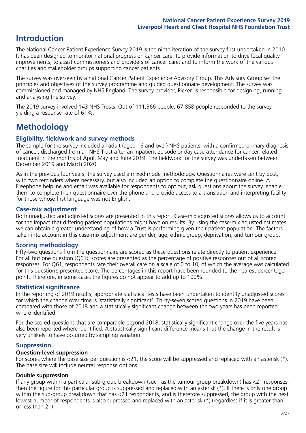# **Introduction**

The National Cancer Patient Experience Survey 2019 is the ninth iteration of the survey first undertaken in 2010. It has been designed to monitor national progress on cancer care; to provide information to drive local quality improvements; to assist commissioners and providers of cancer care; and to inform the work of the various charities and stakeholder groups supporting cancer patients.

The survey was overseen by a national Cancer Patient Experience Advisory Group. This Advisory Group set the principles and objectives of the survey programme and guided questionnaire development. The survey was commissioned and managed by NHS England. The survey provider, Picker, is responsible for designing, running and analysing the survey.

The 2019 survey involved 143 NHS Trusts. Out of 111,366 people, 67,858 people responded to the survey, yielding a response rate of 61%.

# **Methodology**

#### **Eligibility, eldwork and survey methods**

The sample for the survey included all adult (aged 16 and over) NHS patients, with a confirmed primary diagnosis of cancer, discharged from an NHS Trust after an inpatient episode or day case attendance for cancer related treatment in the months of April, May and June 2019. The fieldwork for the survey was undertaken between December 2019 and March 2020.

As in the previous four years, the survey used a mixed mode methodology. Questionnaires were sent by post, with two reminders where necessary, but also included an option to complete the questionnaire online. A Freephone helpline and email was available for respondents to opt out, ask questions about the survey, enable them to complete their questionnaire over the phone and provide access to a translation and interpreting facility for those whose first language was not English.

#### **Case-mix adjustment**

Both unadjusted and adjusted scores are presented in this report. Case-mix adjusted scores allows us to account for the impact that differing patient populations might have on results. By using the case-mix adjusted estimates we can obtain a greater understanding of how a Trust is performing given their patient population. The factors taken into account in this case-mix adjustment are gender, age, ethnic group, deprivation, and tumour group.

#### **Scoring methodology**

Fifty-two questions from the questionnaire are scored as these questions relate directly to patient experience. For all but one question (Q61), scores are presented as the percentage of positive responses out of all scored responses. For Q61, respondents rate their overall care on a scale of 0 to 10, of which the average was calculated for this question's presented score. The percentages in this report have been rounded to the nearest percentage point. Therefore, in some cases the figures do not appear to add up to 100%.

#### **Statistical significance**

In the reporting of 2019 results, appropriate statistical tests have been undertaken to identify unadjusted scores for which the change over time is 'statistically significant'. Thirty-seven scored questions in 2019 have been compared with those of 2018 and a statistically significant change between the two years has been reported where identified.

For the scored questions that are comparable beyond 2018, statistically significant change over the five years has also been reported where identified. A statistically significant difference means that the change in the result is very unlikely to have occurred by sampling variation.

#### **Suppression**

#### **Question-level suppression**

For scores where the base size per question is  $<$ 21, the score will be suppressed and replaced with an asterisk (\*). The base size will include neutral response options.

#### **Double suppression**

If any group within a particular sub-group breakdown (such as the tumour group breakdown) has <21 responses, then the figure for this particular group is suppressed and replaced with an asterisk (\*). If there is only one group within the sub-group breakdown that has <21 respondents, and is therefore suppressed, the group with the next lowest number of respondents is also supressed and replaced with an asterisk (\*) (regardless if it is greater than or less than 21).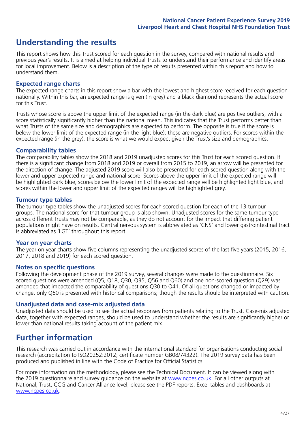## **Understanding the results**

This report shows how this Trust scored for each question in the survey, compared with national results and previous year's results. It is aimed at helping individual Trusts to understand their performance and identify areas for local improvement. Below is a description of the type of results presented within this report and how to understand them.

#### **Expected range charts**

The expected range charts in this report show a bar with the lowest and highest score received for each question nationally. Within this bar, an expected range is given (in grey) and a black diamond represents the actual score for this Trust.

Trusts whose score is above the upper limit of the expected range (in the dark blue) are positive outliers, with a score statistically significantly higher than the national mean. This indicates that the Trust performs better than what Trusts of the same size and demographics are expected to perform. The opposite is true if the score is below the lower limit of the expected range (in the light blue); these are negative outliers. For scores within the expected range (in the grey), the score is what we would expect given the Trust's size and demographics.

#### **Comparability tables**

The comparability tables show the 2018 and 2019 unadjusted scores for this Trust for each scored question. If there is a significant change from 2018 and 2019 or overall from 2015 to 2019, an arrow will be presented for the direction of change. The adjusted 2019 score will also be presented for each scored question along with the lower and upper expected range and national score. Scores above the upper limit of the expected range will be highlighted dark blue, scores below the lower limit of the expected range will be highlighted light blue, and scores within the lower and upper limit of the expected ranges will be highlighted grey.

#### **Tumour type tables**

The tumour type tables show the unadjusted scores for each scored question for each of the 13 tumour groups. The national score for that tumour group is also shown. Unadjusted scores for the same tumour type across different Trusts may not be comparable, as they do not account for the impact that differing patient populations might have on results. Central nervous system is abbreviated as 'CNS' and lower gastrointestinal tract is abbreviated as 'LGT' throughout this report.

#### **Year on year charts**

The year on year charts show five columns representing the unadjusted scores of the last five years (2015, 2016, 2017, 2018 and 2019) for each scored question.

#### **Notes on specific questions**

Following the development phase of the 2019 survey, several changes were made to the questionnaire. Six scored questions were amended (Q5, Q18, Q30, Q35, Q56 and Q60) and one non-scored question (Q29) was amended that impacted the comparability of questions Q30 to Q41. Of all questions changed or impacted by change, only Q60 is presented with historical comparisons; though the results should be interpreted with caution.

#### **Unadjusted data and case-mix adjusted data**

Unadjusted data should be used to see the actual responses from patients relating to the Trust. Case-mix adjusted data, together with expected ranges, should be used to understand whether the results are significantly higher or lower than national results taking account of the patient mix.

### **Further information**

This research was carried out in accordance with the international standard for organisations conducting social research (accreditation to ISO20252:2012; certificate number GB08/74322). The 2019 survey data has been produced and published in line with the Code of Practice for Official Statistics.

For more information on the methodology, please see the Technical Document. It can be viewed along with the 2019 questionnaire and survey quidance on the website at [www.ncpes.co.uk](https://www.ncpes.co.uk/supporting-documents). For all other outputs at National, Trust, CCG and Cancer Alliance level, please see the PDF reports, Excel tables and dashboards at [www.ncpes.co.uk.](https://www.ncpes.co.uk/current-results)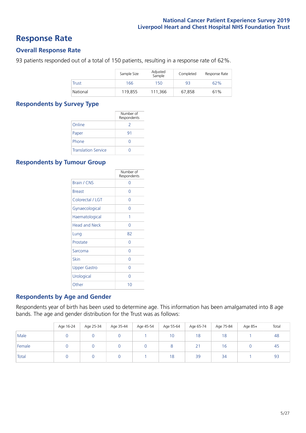### **Response Rate**

#### **Overall Response Rate**

93 patients responded out of a total of 150 patients, resulting in a response rate of 62%.

|              | Sample Size | Adjusted<br>Sample | Completed | Response Rate |
|--------------|-------------|--------------------|-----------|---------------|
| <b>Trust</b> | 166         | 150                | 93        | 62%           |
| National     | 119,855     | 111,366            | 67.858    | 61%           |

#### **Respondents by Survey Type**

|                            | Number of<br>Respondents |
|----------------------------|--------------------------|
| Online                     | 2                        |
| Paper                      | 91                       |
| Phone                      |                          |
| <b>Translation Service</b> |                          |

#### **Respondents by Tumour Group**

|                      | Number of<br>Respondents |
|----------------------|--------------------------|
| <b>Brain / CNS</b>   | ∩                        |
| <b>Breast</b>        | Ω                        |
| Colorectal / LGT     | Ω                        |
| Gynaecological       | Ω                        |
| Haematological       | 1                        |
| <b>Head and Neck</b> | Ω                        |
| Lung                 | 82                       |
| Prostate             | Ω                        |
| Sarcoma              | Ω                        |
| Skin                 | Ω                        |
| <b>Upper Gastro</b>  | Ω                        |
| Urological           | ∩                        |
| Other                | 10                       |

#### **Respondents by Age and Gender**

Respondents year of birth has been used to determine age. This information has been amalgamated into 8 age bands. The age and gender distribution for the Trust was as follows:

|        | Age 16-24 | Age 25-34 | Age 35-44 | Age 45-54 | Age 55-64 | Age 65-74   | Age 75-84 | Age 85+ | Total |
|--------|-----------|-----------|-----------|-----------|-----------|-------------|-----------|---------|-------|
| Male   |           |           |           |           | 10        | 18          | 18        |         | 48    |
| Female |           |           |           |           | $\circ$   | $2^{\circ}$ | 16        |         | 45    |
| Total  |           |           |           |           | 18        | 39          | 34        |         | 93    |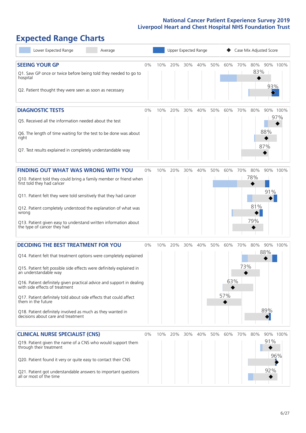# **Expected Range Charts**

| Lower Expected Range<br>Average                                                                                                                                                                                                                                                                                                                                                                                                                                                                                             |       |     |     | Upper Expected Range |     |     |                   |            | Case Mix Adjusted Score  |                     |                 |
|-----------------------------------------------------------------------------------------------------------------------------------------------------------------------------------------------------------------------------------------------------------------------------------------------------------------------------------------------------------------------------------------------------------------------------------------------------------------------------------------------------------------------------|-------|-----|-----|----------------------|-----|-----|-------------------|------------|--------------------------|---------------------|-----------------|
| <b>SEEING YOUR GP</b><br>Q1. Saw GP once or twice before being told they needed to go to<br>hospital<br>Q2. Patient thought they were seen as soon as necessary                                                                                                                                                                                                                                                                                                                                                             | 0%    | 10% | 20% | 30%                  | 40% | 50% | 60%               | 70%        | 83%                      | 80% 90% 100%<br>93% |                 |
| <b>DIAGNOSTIC TESTS</b><br>Q5. Received all the information needed about the test<br>Q6. The length of time waiting for the test to be done was about<br>right<br>Q7. Test results explained in completely understandable way                                                                                                                                                                                                                                                                                               | 0%    | 10% | 20% | 30%                  | 40% | 50% | 60%               | 70%        | 80%                      | 88%<br>87%          | 90% 100%<br>97% |
| <b>FINDING OUT WHAT WAS WRONG WITH YOU</b><br>Q10. Patient told they could bring a family member or friend when<br>first told they had cancer<br>Q11. Patient felt they were told sensitively that they had cancer<br>Q12. Patient completely understood the explanation of what was<br>wrong<br>Q13. Patient given easy to understand written information about<br>the type of cancer they had                                                                                                                             | $0\%$ | 10% | 20% | 30%                  | 40% | 50% | 60%               | 70%        | 80%<br>78%<br>81%<br>79% | 91%                 | 90% 100%        |
| <b>DECIDING THE BEST TREATMENT FOR YOU</b><br>Q14. Patient felt that treatment options were completely explained<br>Q15. Patient felt possible side effects were definitely explained in<br>an understandable way<br>Q16. Patient definitely given practical advice and support in dealing<br>with side effects of treatment<br>Q17. Patient definitely told about side effects that could affect<br>them in the future<br>Q18. Patient definitely involved as much as they wanted in<br>decisions about care and treatment | 0%    | 10% | 20% | 30%                  | 40% | 50% | 60%<br>63%<br>57% | 70%<br>73% | 80%                      | 88%<br>89%          | 90% 100%        |
| <b>CLINICAL NURSE SPECIALIST (CNS)</b><br>Q19. Patient given the name of a CNS who would support them<br>through their treatment<br>Q20. Patient found it very or quite easy to contact their CNS<br>Q21. Patient got understandable answers to important questions<br>all or most of the time                                                                                                                                                                                                                              | 0%    | 10% | 20% | 30%                  | 40% | 50% | 60%               | 70%        | 80%                      | 91%<br>92%          | 90% 100%<br>96% |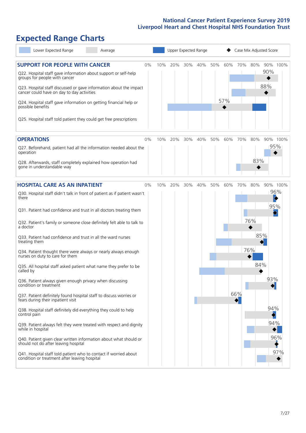# **Expected Range Charts**

| Lower Expected Range<br>Average                                                                                                                                                                                       |     |     | Upper Expected Range |     |     |     |     |            | Case Mix Adjusted Score |          |
|-----------------------------------------------------------------------------------------------------------------------------------------------------------------------------------------------------------------------|-----|-----|----------------------|-----|-----|-----|-----|------------|-------------------------|----------|
| <b>SUPPORT FOR PEOPLE WITH CANCER</b><br>0%<br>Q22. Hospital staff gave information about support or self-help<br>groups for people with cancer<br>Q23. Hospital staff discussed or gave information about the impact | 10% | 20% | 30%                  | 40% | 50% | 60% | 70% | 80%        | 90% 100%<br>90%<br>88%  |          |
| cancer could have on day to day activities<br>Q24. Hospital staff gave information on getting financial help or<br>possible benefits<br>Q25. Hospital staff told patient they could get free prescriptions            |     |     |                      |     |     | 57% |     |            |                         |          |
|                                                                                                                                                                                                                       |     |     |                      |     |     |     |     |            |                         |          |
| <b>OPERATIONS</b><br>0%<br>Q27. Beforehand, patient had all the information needed about the<br>operation                                                                                                             | 10% | 20% | 30%                  | 40% | 50% | 60% | 70% | 80%<br>83% | 90% 100%<br>95%         |          |
| Q28. Afterwards, staff completely explained how operation had<br>gone in understandable way                                                                                                                           |     |     |                      |     |     |     |     |            |                         |          |
| <b>HOSPITAL CARE AS AN INPATIENT</b><br>0%<br>Q30. Hospital staff didn't talk in front of patient as if patient wasn't<br>there                                                                                       | 10% | 20% | 30%                  | 40% | 50% | 60% | 70% | 80%        | 96%<br>$\blacklozenge$  | 90% 100% |
| Q31. Patient had confidence and trust in all doctors treating them                                                                                                                                                    |     |     |                      |     |     |     |     | 76%        | 95%                     |          |
| Q32. Patient's family or someone close definitely felt able to talk to<br>a doctor<br>Q33. Patient had confidence and trust in all the ward nurses                                                                    |     |     |                      |     |     |     |     | 85%        |                         |          |
| treating them<br>Q34. Patient thought there were always or nearly always enough<br>nurses on duty to care for them                                                                                                    |     |     |                      |     |     |     |     | 76%        |                         |          |
| Q35. All hospital staff asked patient what name they prefer to be<br>called by                                                                                                                                        |     |     |                      |     |     |     |     | 84%        |                         |          |
| Q36. Patient always given enough privacy when discussing<br>condition or treatment                                                                                                                                    |     |     |                      |     |     |     |     |            | 93%<br>$\blacklozenge$  |          |
| Q37. Patient definitely found hospital staff to discuss worries or<br>fears during their inpatient visit                                                                                                              |     |     |                      |     |     |     | 66% |            | 94%                     |          |
| Q38. Hospital staff definitely did everything they could to help<br>control pain<br>Q39. Patient always felt they were treated with respect and dignity                                                               |     |     |                      |     |     |     |     |            | 94%                     |          |
| while in hospital<br>Q40. Patient given clear written information about what should or                                                                                                                                |     |     |                      |     |     |     |     |            |                         | 96%      |
| should not do after leaving hospital<br>Q41. Hospital staff told patient who to contact if worried about<br>condition or treatment after leaving hospital                                                             |     |     |                      |     |     |     |     |            |                         | 97%      |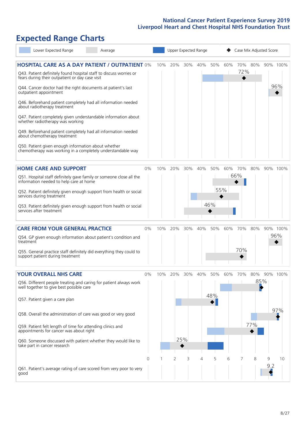# **Expected Range Charts**

| Lower Expected Range<br>Average                                                                                                                                                                                                                                                                                                                                                                                                                                                                                                                                                                                                                                                                        |       |     | Upper Expected Range |            |     |                   |     | Case Mix Adjusted Score |                   |          |                 |
|--------------------------------------------------------------------------------------------------------------------------------------------------------------------------------------------------------------------------------------------------------------------------------------------------------------------------------------------------------------------------------------------------------------------------------------------------------------------------------------------------------------------------------------------------------------------------------------------------------------------------------------------------------------------------------------------------------|-------|-----|----------------------|------------|-----|-------------------|-----|-------------------------|-------------------|----------|-----------------|
| <b>HOSPITAL CARE AS A DAY PATIENT / OUTPATIENT 0%</b><br>Q43. Patient definitely found hospital staff to discuss worries or<br>fears during their outpatient or day case visit<br>Q44. Cancer doctor had the right documents at patient's last<br>outpatient appointment<br>Q46. Beforehand patient completely had all information needed<br>about radiotherapy treatment<br>Q47. Patient completely given understandable information about<br>whether radiotherapy was working<br>Q49. Beforehand patient completely had all information needed<br>about chemotherapy treatment<br>Q50. Patient given enough information about whether<br>chemotherapy was working in a completely understandable way |       | 10% | 20%                  | 30%        | 40% | 50%               | 60% | 70%<br>72%              | 80%               |          | 90% 100%<br>96% |
| <b>HOME CARE AND SUPPORT</b><br>Q51. Hospital staff definitely gave family or someone close all the<br>information needed to help care at home<br>Q52. Patient definitely given enough support from health or social<br>services during treatment<br>Q53. Patient definitely given enough support from health or social<br>services after treatment                                                                                                                                                                                                                                                                                                                                                    | 0%    | 10% | 20%                  | 30%        | 40% | 50%<br>55%<br>46% | 60% | 70%<br>66%              | 80%               |          | 90% 100%        |
| <b>CARE FROM YOUR GENERAL PRACTICE</b><br>Q54. GP given enough information about patient's condition and<br>treatment<br>Q55. General practice staff definitely did everything they could to<br>support patient during treatment                                                                                                                                                                                                                                                                                                                                                                                                                                                                       | 0%    | 10% | 20%                  | 30%        | 40% | 50%               | 60% | 70%<br>70%              | 80%               |          | 90% 100%<br>96% |
| <b>YOUR OVERALL NHS CARE</b><br>Q56. Different people treating and caring for patient always work<br>well together to give best possible care<br>Q57. Patient given a care plan<br>Q58. Overall the administration of care was good or very good<br>Q59. Patient felt length of time for attending clinics and<br>appointments for cancer was about right<br>Q60. Someone discussed with patient whether they would like to<br>take part in cancer research                                                                                                                                                                                                                                            | $0\%$ | 10% | 20%                  | 30%<br>25% | 40% | 50%<br>48%        | 60% | 70%                     | 80%<br>85%<br>77% |          | 90% 100%<br>97% |
| Q61. Patient's average rating of care scored from very poor to very<br>good                                                                                                                                                                                                                                                                                                                                                                                                                                                                                                                                                                                                                            | 0     |     | 2                    | 3          | 4   | 5                 | 6   | 7                       | 8                 | 9<br>9.2 | 10              |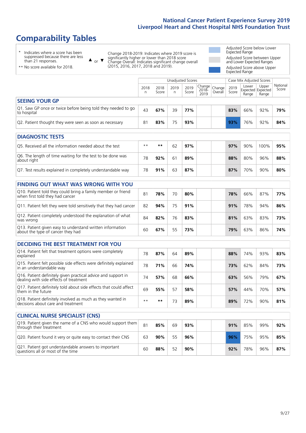# **Comparability Tables**

\* Indicates where a score has been suppressed because there are less than 21 responses.

\*\* No score available for 2018.

 $\triangle$  or  $\nabla$ 

Change 2018-2019: Indicates where 2019 score is significantly higher or lower than 2018 score Change Overall: Indicates significant change overall (2015, 2016, 2017, 2018 and 2019).

Adjusted Score below Lower Expected Range Adjusted Score between Upper and Lower Expected Ranges Adjusted Score above Upper Expected Range

|                                                                             | Case Mix Adjusted Scores<br>Unadjusted Scores |               |           |               |                                                    |         |               |                |                                     |                   |
|-----------------------------------------------------------------------------|-----------------------------------------------|---------------|-----------|---------------|----------------------------------------------------|---------|---------------|----------------|-------------------------------------|-------------------|
|                                                                             | 2018<br>n                                     | 2018<br>Score | 2019<br>n | 2019<br>Score | $\sim$   Change   Change   $\sim$<br>2018-<br>2019 | Overall | 2019<br>Score | Lower<br>Range | Upper<br>Expected Expected<br>Range | National<br>Score |
| <b>SEEING YOUR GP</b>                                                       |                                               |               |           |               |                                                    |         |               |                |                                     |                   |
| Q1. Saw GP once or twice before being told they needed to go<br>to hospital | 43                                            | 67%           | 39        | 77%           |                                                    |         | 83%           | 66%            | 92%                                 | 79%               |
| Q2. Patient thought they were seen as soon as necessary                     | 81                                            | 83%           | 75        | 93%           |                                                    |         | 93%           | 76%            | 92%                                 | 84%               |

| <b>DIAGNOSTIC TESTS</b>                                                   |      |     |    |     |  |     |     |      |     |
|---------------------------------------------------------------------------|------|-----|----|-----|--|-----|-----|------|-----|
| Q5. Received all the information needed about the test                    | $**$ | **  | 62 | 97% |  | 97% | 90% | 100% | 95% |
| Q6. The length of time waiting for the test to be done was<br>about right | 78   | 92% | 61 | 89% |  | 88% | 80% | 96%  | 88% |
| Q7. Test results explained in completely understandable way               | 78   | 91% | 63 | 87% |  | 87% | 70% | 90%  | 80% |

| <b>FINDING OUT WHAT WAS WRONG WITH YOU</b>                                                      |    |     |    |     |     |     |     |     |
|-------------------------------------------------------------------------------------------------|----|-----|----|-----|-----|-----|-----|-----|
| Q10. Patient told they could bring a family member or friend<br>when first told they had cancer | 81 | 78% | 70 | 80% | 78% | 66% | 87% | 77% |
| Q11. Patient felt they were told sensitively that they had cancer                               | 82 | 94% | 75 | 91% | 91% | 78% | 94% | 86% |
| Q12. Patient completely understood the explanation of what<br>was wrong                         | 84 | 82% | 76 | 83% | 81% | 63% | 83% | 73% |
| Q13. Patient given easy to understand written information<br>about the type of cancer they had  | 60 | 67% | 55 | 73% | 79% | 63% | 86% | 74% |

| <b>DECIDING THE BEST TREATMENT FOR YOU</b>                                                              |      |     |    |     |     |     |     |     |
|---------------------------------------------------------------------------------------------------------|------|-----|----|-----|-----|-----|-----|-----|
| Q14. Patient felt that treatment options were completely<br>explained                                   | 78   | 87% | 64 | 89% | 88% | 74% | 93% | 83% |
| Q15. Patient felt possible side effects were definitely explained<br>in an understandable way           | 78   | 71% | 66 | 74% | 73% | 62% | 84% | 73% |
| Q16. Patient definitely given practical advice and support in<br>dealing with side effects of treatment | 74   | 57% | 68 | 66% | 63% | 56% | 79% | 67% |
| Q17. Patient definitely told about side effects that could affect<br>them in the future                 | 69   | 55% | 57 | 58% | 57% | 44% | 70% | 57% |
| Q18. Patient definitely involved as much as they wanted in<br>decisions about care and treatment        | $**$ | **  | 73 | 89% | 89% | 72% | 90% | 81% |

| <b>CLINICAL NURSE SPECIALIST (CNS)</b>                                                    |    |     |    |     |     |     |     |     |
|-------------------------------------------------------------------------------------------|----|-----|----|-----|-----|-----|-----|-----|
| Q19. Patient given the name of a CNS who would support them<br>through their treatment    | 81 | 85% | 69 | 93% | 91% | 85% | 99% | 92% |
| Q20. Patient found it very or quite easy to contact their CNS                             | 63 | 90% | 55 | 96% | 96% | 75% | 95% | 85% |
| Q21. Patient got understandable answers to important<br>questions all or most of the time | 60 | 88% | 52 | 90% | 92% | 78% | 96% | 87% |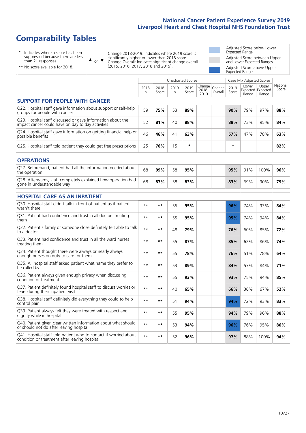# **Comparability Tables**

\* Indicates where a score has been suppressed because there are less than 21 responses.

\*\* No score available for 2018.

 $\triangle$  or  $\nabla$ 

Change 2018-2019: Indicates where 2019 score is significantly higher or lower than 2018 score Change Overall: Indicates significant change overall (2015, 2016, 2017, 2018 and 2019).

Adjusted Score below Lower Expected Range Adjusted Score between Upper and Lower Expected Ranges Adjusted Score above Upper Expected Range

|                                                                                                                   |              |               |            | <b>Unadjusted Scores</b> |                         |                   |               | Case Mix Adjusted Scores |                                     |                   |
|-------------------------------------------------------------------------------------------------------------------|--------------|---------------|------------|--------------------------|-------------------------|-------------------|---------------|--------------------------|-------------------------------------|-------------------|
|                                                                                                                   | 2018<br>n    | 2018<br>Score | 2019<br>n. | 2019<br>Score            | Change<br>2018-<br>2019 | Change<br>Overall | 2019<br>Score | Lower<br>Range           | Upper<br>Expected Expected<br>Range | National<br>Score |
| <b>SUPPORT FOR PEOPLE WITH CANCER</b>                                                                             |              |               |            |                          |                         |                   |               |                          |                                     |                   |
| Q22. Hospital staff gave information about support or self-help<br>groups for people with cancer                  | 59           | 75%           | 53         | 89%                      |                         |                   | 90%           | 79%                      | 97%                                 | 88%               |
| Q23. Hospital staff discussed or gave information about the<br>impact cancer could have on day to day activities  | 52           | 81%           | 40         | 88%                      |                         |                   | 88%           | 73%                      | 95%                                 | 84%               |
| Q24. Hospital staff gave information on getting financial help or<br>possible benefits                            | 46           | 46%           | 41         | 63%                      |                         |                   | 57%           | 47%                      | 78%                                 | 63%               |
| Q25. Hospital staff told patient they could get free prescriptions                                                | 25           | 76%           | 15         | $\star$                  |                         |                   | $\star$       |                          |                                     | 82%               |
| <b>OPERATIONS</b>                                                                                                 |              |               |            |                          |                         |                   |               |                          |                                     |                   |
| Q27. Beforehand, patient had all the information needed about<br>the operation                                    | 68           | 99%           | 58         | 95%                      |                         |                   | 95%           | 91%                      | 100%                                | 96%               |
| Q28. Afterwards, staff completely explained how operation had<br>gone in understandable way                       | 68           | 87%           | 58         | 83%                      |                         |                   | 83%           | 69%                      | 90%                                 | 79%               |
| <b>HOSPITAL CARE AS AN INPATIENT</b>                                                                              |              |               |            |                          |                         |                   |               |                          |                                     |                   |
| Q30. Hospital staff didn't talk in front of patient as if patient<br>wasn't there                                 | $\star\star$ | **            | 55         | 95%                      |                         |                   | 96%           | 74%                      | 93%                                 | 84%               |
| Q31. Patient had confidence and trust in all doctors treating<br>them                                             | $**$         | $***$         | 55         | 95%                      |                         |                   | 95%           | 74%                      | 94%                                 | 84%               |
| Q32. Patient's family or someone close definitely felt able to talk<br>to a doctor                                | $* *$        | **            | 48         | 79%                      |                         |                   | 76%           | 60%                      | 85%                                 | 72%               |
| O33. Patient had confidence and trust in all the ward nurses<br>treating them                                     | $**$         | $***$         | 55         | 87%                      |                         |                   | 85%           | 62%                      | 86%                                 | 74%               |
| Q34. Patient thought there were always or nearly always<br>enough nurses on duty to care for them                 | $**$         | **            | 55         | 78%                      |                         |                   | 76%           | 51%                      | 78%                                 | 64%               |
| Q35. All hospital staff asked patient what name they prefer to<br>be called by                                    | $* *$        | **            | 53         | 89%                      |                         |                   | 84%           | 57%                      | 84%                                 | 71%               |
| Q36. Patient always given enough privacy when discussing<br>condition or treatment                                | $**$         | $***$         | 55         | 93%                      |                         |                   | 93%           | 75%                      | 94%                                 | 85%               |
| Q37. Patient definitely found hospital staff to discuss worries or<br>fears during their inpatient visit          | $* *$        | **            | 40         | 65%                      |                         |                   | 66%           | 36%                      | 67%                                 | 52%               |
| Q38. Hospital staff definitely did everything they could to help<br>control pain                                  | $**$         | $***$         | 51         | 94%                      |                         |                   | 94%           | 72%                      | 93%                                 | 83%               |
| Q39. Patient always felt they were treated with respect and<br>dignity while in hospital                          | $* *$        | **            | 55         | 95%                      |                         |                   | 94%           | 79%                      | 96%                                 | 88%               |
| Q40. Patient given clear written information about what should<br>or should not do after leaving hospital         | $**$         | **            | 53         | 94%                      |                         |                   | 96%           | 76%                      | 95%                                 | 86%               |
| Q41. Hospital staff told patient who to contact if worried about<br>condition or treatment after leaving hospital | $* *$        | **            | 52         | 96%                      |                         |                   | 97%           | 88%                      | 100%                                | 94%               |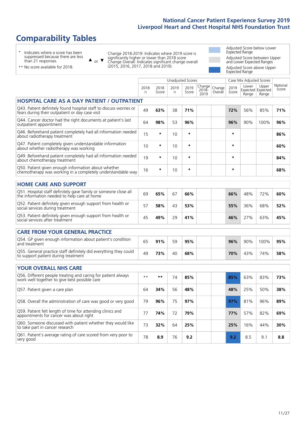# **Comparability Tables**

\* Indicates where a score has been suppressed because there are less than 21 responses.

\*\* No score available for 2018.

 $\triangle$  or  $\nabla$ 

Change 2018-2019: Indicates where 2019 score is significantly higher or lower than 2018 score Change Overall: Indicates significant change overall (2015, 2016, 2017, 2018 and 2019).

Adjusted Score below Lower Expected Range Adjusted Score between Upper and Lower Expected Ranges Adjusted Score above Upper Expected Range

|                                                                                                                       |           |               |            | <b>Unadjusted Scores</b> |                            |                   |               | Case Mix Adjusted Scores            |                |                   |
|-----------------------------------------------------------------------------------------------------------------------|-----------|---------------|------------|--------------------------|----------------------------|-------------------|---------------|-------------------------------------|----------------|-------------------|
|                                                                                                                       | 2018<br>n | 2018<br>Score | 2019<br>n. | 2019<br>Score            | Change<br>$2018 -$<br>2019 | Change<br>Overall | 2019<br>Score | Lower<br>Expected Expected<br>Range | Upper<br>Range | National<br>Score |
| <b>HOSPITAL CARE AS A DAY PATIENT / OUTPATIENT</b>                                                                    |           |               |            |                          |                            |                   |               |                                     |                |                   |
| Q43. Patient definitely found hospital staff to discuss worries or<br>fears during their outpatient or day case visit | 49        | 63%           | 38         | 71%                      |                            |                   | 72%           | 56%                                 | 85%            | 71%               |
| Q44. Cancer doctor had the right documents at patient's last<br>outpatient appointment                                | 64        | 98%           | 53         | 96%                      |                            |                   | 96%           | 90%                                 | 100%           | 96%               |
| Q46. Beforehand patient completely had all information needed<br>about radiotherapy treatment                         | 15        | *             | 10         | $\star$                  |                            |                   | $\star$       |                                     |                | 86%               |
| Q47. Patient completely given understandable information<br>about whether radiotherapy was working                    | 10        | $\star$       | 10         | $\star$                  |                            |                   | $\star$       |                                     |                | 60%               |
| Q49. Beforehand patient completely had all information needed<br>about chemotherapy treatment                         | 19        | $\star$       | 10         | $\star$                  |                            |                   | $\star$       |                                     |                | 84%               |
| Q50. Patient given enough information about whether<br>chemotherapy was working in a completely understandable way    | 16        | *             | 10         | $\star$                  |                            |                   | $\star$       |                                     |                | 68%               |
| <b>HOME CARE AND SUPPORT</b>                                                                                          |           |               |            |                          |                            |                   |               |                                     |                |                   |
| Q51. Hospital staff definitely gave family or someone close all<br>the information needed to help care at home        | 69        | 65%           | 67         | 66%                      |                            |                   | 66%           | 48%                                 | 72%            | 60%               |
| Q52. Patient definitely given enough support from health or<br>social services during treatment                       | 57        | 58%           | 43         | 53%                      |                            |                   | 55%           | 36%                                 | 68%            | 52%               |
| Q53. Patient definitely given enough support from health or<br>social services after treatment                        | 45        | 49%           | 29         | 41%                      |                            |                   | 46%           | 27%                                 | 63%            | 45%               |
| <b>CARE FROM YOUR GENERAL PRACTICE</b>                                                                                |           |               |            |                          |                            |                   |               |                                     |                |                   |
| Q54. GP given enough information about patient's condition<br>and treatment                                           | 65        | 91%           | 59         | 95%                      |                            |                   | 96%           | 90%                                 | 100%           | 95%               |
| Q55. General practice staff definitely did everything they could<br>to support patient during treatment               | 49        | 73%           | 40         | 68%                      |                            |                   | 70%           | 43%                                 | 74%            | 58%               |
| <b>YOUR OVERALL NHS CARE</b>                                                                                          |           |               |            |                          |                            |                   |               |                                     |                |                   |
| Q56. Different people treating and caring for patient always<br>work well together to give best possible care         | $* *$     | $***$         | 74         | 85%                      |                            |                   | 85%           | 63%                                 | 83%            | 73%               |
| Q57. Patient given a care plan                                                                                        | 64        | 34%           | 56         | 48%                      |                            |                   | 48%           | 25%                                 | 50%            | 38%               |
| Q58. Overall the administration of care was good or very good                                                         | 79        | 96%           | 75         | 97%                      |                            |                   | 97%           | 81%                                 | 96%            | 89%               |
| Q59. Patient felt length of time for attending clinics and<br>appointments for cancer was about right                 | 77        | 74%           | 72         | 79%                      |                            |                   | 77%           | 57%                                 | 82%            | 69%               |
| Q60. Someone discussed with patient whether they would like<br>to take part in cancer research                        | 73        | 32%           | 64         | 25%                      |                            |                   | 25%           | 16%                                 | 44%            | 30%               |
| Q61. Patient's average rating of care scored from very poor to<br>very good                                           | 78        | 8.9           | 76         | 9.2                      |                            |                   | 9.2           | 8.5                                 | 9.1            | 8.8               |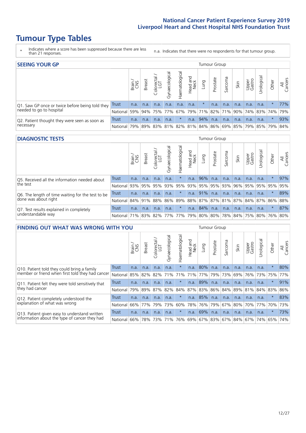# **Tumour Type Tables**

\* Indicates where a score has been suppressed because there are less than 21 responses.

n.a. Indicates that there were no respondents for that tumour group.

| <b>SEEING YOUR GP</b>                           |              |              |        |            |                |                |                                     |          | Tumour Group |         |      |                 |                                         |         |                |
|-------------------------------------------------|--------------|--------------|--------|------------|----------------|----------------|-------------------------------------|----------|--------------|---------|------|-----------------|-----------------------------------------|---------|----------------|
|                                                 |              | Brain<br>CNS | Breast | Colorectal | Gynaecological | Haematological | Head and<br>Neck                    | Fung     | Prostate     | Sarcoma | Skin | Upper<br>Gastro | $\overline{\sigma}$<br>Urologica        | Other   | All<br>Cancers |
| Q1. Saw GP once or twice before being told they | Trust        | n.a.         | n.a.   | n.a.       | n.a.           | n.a.           | n.a.                                | $\star$  | n.a.         | n.a.    | n.a. | n.a.            | n.a.                                    | $\star$ | 77%            |
| needed to go to hospital                        | National 59% |              |        |            |                |                | 94% 75% 77% 67% 79% 71% 82% 71% 90% |          |              |         |      |                 | 74% 83% 74% 79%                         |         |                |
| Q2. Patient thought they were seen as soon as   | Trust        | n.a.         | n.a.   | n.a.       | n.a.           | $\ast$         | n.a.                                | $ 94\% $ | n.a.         | n.a.    | n.a. | n.a.            | n.a.                                    | $\star$ | 93%            |
| necessary                                       | National     | 79%          | 89%    | 83%        | 81%            |                |                                     |          |              |         |      |                 | 82% 81% 84% 86% 69% 85% 79% 85% 79% 84% |         |                |

#### **DIAGNOSTIC TESTS** Tumour Group

|                                                   |                                          | Brain | <b>Breast</b> | olorectal<br>LGT<br>$\cup$ | ᢛ<br>Gynaecologic | Haematological | Head and<br>Neck | Lung | Prostate    | Sarcoma | Skin | Upper<br>Gastro | Jrologica                                   | Other   | All<br>Cancers |
|---------------------------------------------------|------------------------------------------|-------|---------------|----------------------------|-------------------|----------------|------------------|------|-------------|---------|------|-----------------|---------------------------------------------|---------|----------------|
| Q5. Received all the information needed about     | Trust                                    | n.a.  | n.a.          | n.a.                       | n.a.              |                | n.a.             | 96%  | n.a.        | n.a.    | n.a. | n.a.            | n.a.                                        | $\star$ | 97%            |
| the test                                          | National                                 | 93%   | 95%           | 95%                        |                   | 93% 95%        |                  |      | 93% 95% 95% | 93%     | 96%  |                 | 95% 95%                                     | 95%     | 95%            |
| Q6. The length of time waiting for the test to be | Trust                                    | n.a.  | n.a.          | n.a.                       | n.a.              | $^\star$       | n.a.             | 91%  | n.a.        | n.a.    | n.a. | n.a.            | n.a.                                        | $\star$ | 89%            |
| done was about right                              | <b>National</b>                          |       | 84%   91%     | 88%                        |                   |                |                  |      |             |         |      |                 | 86% 89% 88% 87% 87% 81% 87% 84% 87% 86% 88% |         |                |
| Q7. Test results explained in completely          | Trust                                    | n.a.  | n.a.          | n.a.                       | n.a.              | $\star$        | n.a.             | 84%  | n.a.        | n.a.    | n.a. | n.a.            | n.a.                                        | $\star$ | 87%            |
| understandable way                                | National 71% 83% 82% 77% 77% 79% 80% 80% |       |               |                            |                   |                |                  |      |             |         |      |                 | 78% 84% 75% 80% 76% 80%                     |         |                |

| <b>FINDING OUT WHAT WAS WRONG WITH YOU</b>        |              |       |               |                             |                |                 |                        |      | <b>Tumour Group</b> |         |         |                 |                 |         |                |
|---------------------------------------------------|--------------|-------|---------------|-----------------------------|----------------|-----------------|------------------------|------|---------------------|---------|---------|-----------------|-----------------|---------|----------------|
|                                                   |              | Brain | <b>Breast</b> | ╮<br>olorectal.<br>LGT<br>Ü | Gynaecological | Haematological  | ad and<br>Neck<br>Head | Lung | Prostate            | Sarcoma | Skin    | Upper<br>Gastro | Jrological      | Other   | All<br>Cancers |
| Q10. Patient told they could bring a family       | Trust        | n.a.  | n.a.          | n.a.                        | n.a.           | $\star$         | n.a.                   | 80%  | n.a.                | n.a.    | n.a.    | n.a.            | n.a.            | $\star$ | 80%            |
| member or friend when first told they had cancer  | National     | 85%   | 82%           | 82%                         | 71%            | 71%             | 71%                    | 77%  | 79%                 | 73%     | 69%     | 76%             | 73%             | 75%     | 77%            |
| Q11. Patient felt they were told sensitively that | <b>Trust</b> | n.a.  | n.a.          | n.a.                        | n.a.           | $\ast$          | n.a.                   | 89%  | n.a.                | n.a.    | n.a.    | n.a.            | n.a.            | $\star$ | 91%            |
| they had cancer                                   | National     | 79%   | 89%           | 87%                         | 82%            | 84% 87% 83% 86% |                        |      |                     | 84%     |         |                 | 89% 81% 84% 83% |         | 86%            |
| Q12. Patient completely understood the            | Trust        | n.a.  | n.a.          | n.a.                        | n.a.           | $\ast$          | n.a.                   | 85%  | n.a.                | n.a.    | n.a.    | n.a.            | n.a.            | $\star$ | 83%            |
| explanation of what was wrong                     | National     | 66%   | 77%           | 79%                         | 73%            | 60%             | 78%                    | 76%  | 79%                 | 67%     | 80%     | 70%             | 77%             | 70%     | 73%            |
| Q13. Patient given easy to understand written     | Trust        | n.a.  | n.a.          | n.a.                        | n.a.           | $\ast$          | n.a.                   | 69%  | n.a.                | n.a.    | n.a.    | n.a.            | n.a.            | $\ast$  | 73%            |
| information about the type of cancer they had     | National     | 66%   | 78%           | 73%                         | 71%            | 76% 69% 67% 83% |                        |      |                     |         | 67% 84% |                 | 67%   74%       | 65%     | 74%            |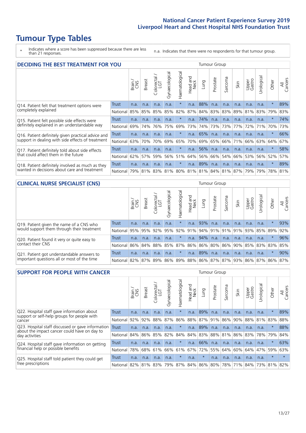# **Tumour Type Tables**

\* Indicates where a score has been suppressed because there are less than 21 responses.

n.a. Indicates that there were no respondents for that tumour group.

| <b>DECIDING THE BEST TREATMENT FOR YOU</b>         |          |       |               |                        |                |                |                         |      | Tumour Group |                                 |      |                 |            |         |                |
|----------------------------------------------------|----------|-------|---------------|------------------------|----------------|----------------|-------------------------|------|--------------|---------------------------------|------|-----------------|------------|---------|----------------|
|                                                    |          | Brain | <b>Breast</b> | olorectal.<br>LGT<br>Ū | Gynaecological | Haematological | ead and<br>Neck<br>Head | Lung | Prostate     | Sarcoma                         | Skin | Upper<br>Gastro | Jrological | Other   | All<br>Cancers |
| Q14. Patient felt that treatment options were      | Trust    | n.a.  | n.a.          | n.a.                   | n.a.           | $\star$        | n.a.                    | 88%  | n.a.         | n.a.                            | n.a. | n.a.            | n.a.       | $\star$ | 89%            |
| completely explained                               | National | 85%   | 85%           | 85%                    | 85%            | 82%            | 87%                     | 84%  | 83%          | 83%                             | 89%  | 81%             | 83%        | 79%     | 83%            |
| Q15. Patient felt possible side effects were       | Trust    | n.a.  | n.a.          | n.a.                   | n.a.           | $^\star$       | n.a.                    | 74%  | n.a.         | n.a.                            | n.a. | n.a.            | n.a.       | $\star$ | 74%            |
| definitely explained in an understandable way      | National | 69%   | 74%           | 76%                    | 75%            | 69%            | 73%                     | 74%  | 73%          | 73%                             | 77%  | 72%             | 71%        | 70%     | 73%            |
| Q16. Patient definitely given practical advice and | Trust    | n.a.  | n.a.          | n.a.                   | n.a.           | $\star$        | n.a.                    | 65%  | n.a.         | n.a.                            | n.a. | n.a.            | n.a.       | $\star$ | 66%            |
| support in dealing with side effects of treatment  | National | 63%   | 70%           | 70%                    | 69%            | 65%            | 70%                     | 69%  | 65%          | 66%                             | 71%  | 66%             | 63%        | 64%     | 67%            |
| Q17. Patient definitely told about side effects    | Trust    | n.a.  | n.a.          | n.a.                   | n.a.           | $\star$        | n.a.                    | 56%  | n.a.         | n.a.                            | n.a. | n.a.            | n.a.       | $\star$ | 58%            |
| that could affect them in the future               | National | 62%   | 57%           | 59%                    | 56%            | 51%            | 64%                     | 56%  | 66%          | 54%                             | 66%  | 53%             | 56%        | 52%     | 57%            |
| Q18. Patient definitely involved as much as they   | Trust    | n.a.  | n.a.          | n.a.                   | n.a.           | $^\star$       | n.a.                    | 89%  | n.a.         | n.a.                            | n.a. | n.a.            | n.a.       | $\ast$  | 89%            |
| wanted in decisions about care and treatment       | National | 79%   | 81%           |                        |                |                |                         |      |              | 83% 81% 80% 81% 81% 84% 81% 87% |      | 79%             | 79%        | 78% 81% |                |

#### **CLINICAL NURSE SPECIALIST (CNS)** Tumour Group

|                                             |                  | Brain | <b>Breast</b> | olorectal.<br>LGT<br>U | aecologic<br>$\tilde{\xi}$ | $\overline{\sigma}$<br>Haematologic | Head and<br>Neck | Lung        | Prostate | Sarcoma | Skin                              | Upper<br>Gastro | σ<br>Jrologica | Other           | All<br>Cancers |
|---------------------------------------------|------------------|-------|---------------|------------------------|----------------------------|-------------------------------------|------------------|-------------|----------|---------|-----------------------------------|-----------------|----------------|-----------------|----------------|
| Q19. Patient given the name of a CNS who    | Trust            | n.a.  | n.a.          | n.a.                   | n.a.                       |                                     | n.a.             | 93%         | n.a.     | n.a.    | n.a.                              | n.a.            | n.a.           |                 | 93%            |
| would support them through their treatment  | National l       | 95%   |               | 95% 92%                | 95%                        |                                     |                  |             |          |         | 92%   91%   94%   91%   91%   91% | 93%             |                | 85% 89%         | 92%            |
| Q20. Patient found it very or quite easy to | Trust            | n.a.  | n.a.          | n.a.                   | n.a.                       | $\star$                             | n.a.             | 94%         | n.a.     | n.a.    | n.a.                              | n.a.            | n.a.           | $^\star$        | 96%            |
| contact their CNS                           | National         | 86%   | 84%           | 88%                    | 85%                        | 87%                                 |                  | 86% 86% 80% |          | 86%     | 90%                               | 85%             |                | 83% 83%         | 85%            |
| Q21. Patient got understandable answers to  | Trust            | n.a.  | n.a.          | n.a.                   | n.a.                       | $\star$                             | n.a.             | 89%         | n.a.     | n.a.    | n.a.                              | n.a.            | n.a.           | $^\star$        | 90%            |
| important questions all or most of the time | National 82% 87% |       |               | 89%                    | 86%                        |                                     |                  |             |          |         | 89% 88% 86% 87% 87% 93%           |                 |                | 86%   87%   86% | 87%            |

| <b>SUPPORT FOR PEOPLE WITH CANCER</b>                                                     |          |       |               |                 |                |                |                        |         | <b>Tumour Group</b> |              |      |                 |                         |         |                    |
|-------------------------------------------------------------------------------------------|----------|-------|---------------|-----------------|----------------|----------------|------------------------|---------|---------------------|--------------|------|-----------------|-------------------------|---------|--------------------|
|                                                                                           |          | Brain | <b>Breast</b> | ∽<br>Colorectal | Gynaecological | Haematological | ad and<br>Neck<br>Head | Lung    | Prostate            | arcoma<br>vĀ | Skin | Upper<br>Gastro | Irological<br>$\supset$ | Other   | All<br>ancers<br>ت |
| Q22. Hospital staff gave information about<br>support or self-help groups for people with | Trust    | n.a.  | n.a.          | n.a.            | n.a.           | $\star$        | n.a.                   | 89%     | n.a.                | n.a.         | n.a. | n.a.            | n.a.                    | $\star$ | 89%                |
| cancer                                                                                    | National | 92%   | 92%           | 88%             | 87%            | 86%            |                        |         | 88% 87% 91%         | 86%          | 90%  | 88%             | 81%                     | 83%     | 88%                |
| Q23. Hospital staff discussed or gave information                                         | Trust    | n.a.  | n.a.          | n.a.            | n.a.           | $\ast$         | n.a.                   | 89%     | n.a.                | n.a.         | n.a. | n.a.            | n.a.                    | $\star$ | 88%                |
| about the impact cancer could have on day to<br>day activities                            | National | 84%   | 86%           | 85%             | 82%            | 84%            | 84%                    | 83%     | 88%                 | 81%          | 86%  | 83%             | 78%                     | 79%     | 84%                |
| Q24. Hospital staff gave information on getting                                           | Trust    | n.a.  | n.a.          | n.a.            | n.a.           | $\star$        | n.a.                   | 66%     | n.a.                | n.a.         | n.a. | n.a.            | n.a.                    | $\ast$  | 63%                |
| financial help or possible benefits                                                       | National | 78%   |               | 68% 61%         | 66%            | 61%            | 67%                    |         | 72% 55%             | 64%          | 60%  | 64%             | 47%                     | 59%     | 63%                |
| Q25. Hospital staff told patient they could get                                           | Trust    | n.a.  | n.a.          | n.a.            | n.a.           | $\star$        | n.a.                   | $\star$ | n.a.                | n.a.         | n.a. | n.a.            | n.a.                    | $\star$ | $\star$            |
| free prescriptions                                                                        | National |       | 82% 81% 83%   |                 | 79%            | 87%            |                        |         | 84% 86% 80%         | 78%          |      | 71% 84%         |                         | 73% 81% | 82%                |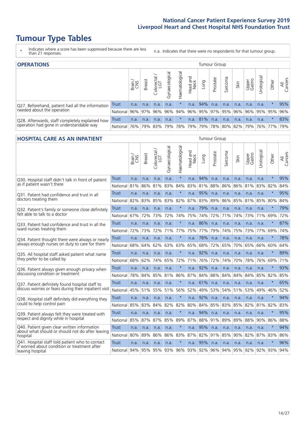# **Tumour Type Tables**

- \* Indicates where a score has been suppressed because there are less than 21 responses.
- n.a. Indicates that there were no respondents for that tumour group.

| <b>OPERATIONS</b>                                |                 |              |               |                   |                |                       |                  |          | Tumour Group |         |                                     |                 |            |        |                |
|--------------------------------------------------|-----------------|--------------|---------------|-------------------|----------------|-----------------------|------------------|----------|--------------|---------|-------------------------------------|-----------------|------------|--------|----------------|
|                                                  |                 | Brain<br>CNS | <b>Breast</b> | Colorectal<br>LGT | Gynaecological | Haematological        | Head and<br>Neck | Lung     | Prostate     | Sarcoma | Skin                                | Upper<br>Gastro | Jrological | Other  | All<br>Cancers |
| Q27. Beforehand, patient had all the information | Trust           | n.a.         | n.a.          | n.a.              | n.a.           |                       | n.a.             | 94%      | n.a.         | n.a.    | n.a.                                | n.a.            | n.a.       |        | 95%            |
| needed about the operation                       | <b>National</b> |              | 96% 97%       | 96%               | 96%            |                       |                  |          |              |         | 94% 96% 95% 97% 95% 96% 96% 95% 95% |                 |            |        | 96%            |
| Q28. Afterwards, staff completely explained how  | Trust           | n.a.         | n.a.          | n.a.              | n.a.           |                       | n.a.             | $ 81\% $ | n.a.         | n.a.    | n.a.                                | n.a.            | n.a.       | $\ast$ | 83%            |
| operation had gone in understandable way         | National I      | 76%          | 79%           | 83%               | 79%            | 78%   79%   79%   78% |                  |          |              |         | 80%   82%   79%   76%   77%         |                 |            |        | 79%            |

#### **HOSPITAL CARE AS AN INPATIENT** Tumour Group

|                                                                                                  |              | Brain | Breast | $\overline{\phantom{0}}$<br>Colorectal /<br>LGT | Gynaecological | Haematological | Head and<br>Neck | Lung    | Prostate | Sarcoma | Skin | Upper<br>Gastro | Urological  | Other   | All<br>Cancers |
|--------------------------------------------------------------------------------------------------|--------------|-------|--------|-------------------------------------------------|----------------|----------------|------------------|---------|----------|---------|------|-----------------|-------------|---------|----------------|
| Q30. Hospital staff didn't talk in front of patient                                              | <b>Trust</b> | n.a.  | n.a.   | n.a.                                            | n.a.           | $\star$        | n.a.             | 94%     | n.a.     | n.a.    | n.a. | n.a.            | n.a.        | $\star$ | 95%            |
| as if patient wasn't there                                                                       | National     | 81%   | 86%    | 81%                                             | 83%            | 84%            | 83%              | 81%     | 88%      | 86%     | 86%  | 81%             | 83%         | 82%     | 84%            |
| O31. Patient had confidence and trust in all                                                     | Trust        | n.a.  | n.a.   | n.a.                                            | n.a.           | $\star$        | n.a.             | 95%     | n.a.     | n.a.    | n.a. | n.a.            | n.a.        | $\star$ | 95%            |
| doctors treating them                                                                            | National     | 82%   | 83%    | 85%                                             | 83%            | 82%            |                  | 87% 83% | 89%      | 86%     | 85%  | 81%             | 85%         | 80%     | 84%            |
| Q32. Patient's family or someone close definitely                                                | Trust        | n.a.  | n.a.   | n.a.                                            | n.a.           | $\star$        | n.a.             | 79%     | n.a.     | n.a.    | n.a. | n.a.            | n.a.        | $\star$ | 79%            |
| felt able to talk to a doctor                                                                    | National     | 67%   | 72%    | 73%                                             | 72%            | 74%            | 75%              | 74%     | 72%      | 71%     | 74%  | 73%             | 71%         | 69%     | 72%            |
| Q33. Patient had confidence and trust in all the                                                 | <b>Trust</b> | n.a.  | n.a.   | n.a.                                            | n.a.           | $\star$        | n.a.             | 86%     | n.a.     | n.a.    | n.a. | n.a.            | n.a.        | $\ast$  | 87%            |
| ward nurses treating them                                                                        | National     | 72%   | 73%    | 72%                                             |                | 71% 77%        |                  | 75% 77% | 79%      | 74%     | 75%  | 73%             | 77%         | 69%     | 74%            |
| Q34. Patient thought there were always or nearly                                                 | Trust        | n.a.  | n.a.   | n.a.                                            | n.a.           | $\star$        | n.a.             | 78%     | n.a.     | n.a.    | n.a. | n.a.            | n.a.        | $\star$ | 78%            |
| always enough nurses on duty to care for them                                                    | National     | 68%   | 64%    | 62%                                             | 63%            | 63%            | 65%              | 68%     | 72%      | 65%     | 70%  | 65%             | 66%         | 60%     | 64%            |
| Q35. All hospital staff asked patient what name                                                  | <b>Trust</b> | n.a.  | n.a.   | n.a.                                            | n.a.           | $\star$        | n.a.             | 92%     | n.a.     | n.a.    | n.a. | n.a.            | n.a.        | $\star$ | 89%            |
| they prefer to be called by                                                                      | National     | 68%   | 62%    | 74%                                             | 65%            | 72%            | 71%              | 76%     | 72%      | 74%     | 70%  | 78%             | 76%         | 69%     | 71%            |
| Q36. Patient always given enough privacy when                                                    | Trust        | n.a.  | n.a.   | n.a.                                            | n.a.           | $\star$        | n.a.             | 92%     | n.a.     | n.a.    | n.a. | n.a.            | n.a.        | $\star$ | 93%            |
| discussing condition or treatment                                                                | National     | 78%   | 84%    | 85%                                             | 81%            | 86%            |                  | 87% 84% | 88%      | 84%     | 84%  | 84%             | 85%         | 82%     | 85%            |
| Q37. Patient definitely found hospital staff to                                                  | <b>Trust</b> | n.a.  | n.a.   | n.a.                                            | n.a.           | $\star$        | n.a.             | 61%     | n.a.     | n.a.    | n.a. | n.a.            | n.a.        | $\star$ | 65%            |
| discuss worries or fears during their inpatient visit                                            | National     | 45%   | 51%    | 55%                                             | 51%            | 56%            | 52%              | 49%     | 53%      | 54%     | 51%  | 53%             | 49%         | 46%     | 52%            |
| Q38. Hospital staff definitely did everything they                                               | Trust        | n.a.  | n.a.   | n.a.                                            | n.a.           | $\star$        | n.a.             | 92%     | n.a.     | n.a.    | n.a. | n.a.            | n.a.        | $\star$ | 94%            |
| could to help control pain                                                                       | National     | 85%   | 83%    | 84%                                             | 82%            | 82%            |                  | 80% 84% | 85%      | 83%     | 85%  | 82%             | 81%         | 82%     | 83%            |
| Q39. Patient always felt they were treated with                                                  | <b>Trust</b> | n.a.  | n.a.   | n.a.                                            | n.a.           | $\star$        | n.a.             | 94%     | n.a.     | n.a.    | n.a. | n.a.            | n.a.        | $\star$ | 95%            |
| respect and dignity while in hospital                                                            | National     | 85%   | 87%    | 87%                                             | 85%            | 89%            | 87%              | 88%     | 91%      | 89%     | 89%  | 88%             | 90%         | 86%     | 88%            |
| Q40. Patient given clear written information<br>about what should or should not do after leaving | Trust        | n.a.  | n.a.   | n.a.                                            | n.a.           | $\star$        | n.a.             | 95%     | n.a.     | n.a.    | n.a. | n.a.            | n.a.        | $\star$ | 94%            |
| hospital                                                                                         | National     | 80%   | 89%    | 86%                                             | 86%            | 83%            |                  | 87% 82% | 91%      | 85%     | 90%  | 82%             | 87%         | 83%     | 86%            |
| Q41. Hospital staff told patient who to contact<br>if worried about condition or treatment after | <b>Trust</b> | n.a.  | n.a.   | n.a.                                            | n.a.           | $\star$        | n.a.             | 95%     | n.a.     | n.a.    | n.a. | n.a.            | n.a.        | $\star$ | 96%            |
| leaving hospital                                                                                 | National     | 94%   | 95%    |                                                 |                | 95% 93% 96%    |                  | 93% 92% | 96%      | 94%     |      |                 | 95% 92% 92% | 93%     | 94%            |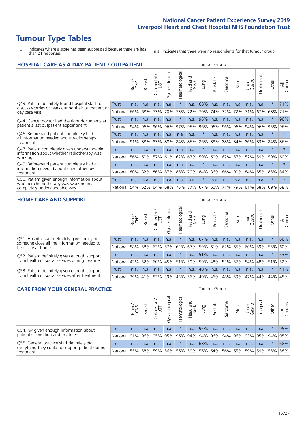# **Tumour Type Tables**

\* Indicates where a score has been suppressed because there are less than 21 responses.

n.a. Indicates that there were no respondents for that tumour group.

| <b>HOSPITAL CARE AS A DAY PATIENT / OUTPATIENT</b>                                                                    | Tumour Group |       |               |                 |                |                |                                |          |          |                      |      |                 |            |         |                |
|-----------------------------------------------------------------------------------------------------------------------|--------------|-------|---------------|-----------------|----------------|----------------|--------------------------------|----------|----------|----------------------|------|-----------------|------------|---------|----------------|
|                                                                                                                       |              | Brain | <b>Breast</b> | ー<br>Colorectal | Gynaecological | Haematological | <b>Bad and</b><br>Neck<br>Head | Lung     | Prostate | arcoma<br>$\sqrt{ }$ | Skin | Upper<br>Gastro | Urological | Other   | All<br>Cancers |
| Q43. Patient definitely found hospital staff to                                                                       | <b>Trust</b> | n.a.  | n.a.          | n.a.            | n.a.           | $\star$        | n.a.                           | 68%      | n.a.     | n.a.                 | n.a. | n.a.            | n.a.       | $\star$ | 71%            |
| discuss worries or fears during their outpatient or<br>day case visit                                                 | National     | 66%   | 68%           | 73%             | 70%            | 73%            | 72%                            | 70%      | 74%      | 72%                  | 72%  | 71%             | 67%        | 68%     | 71%            |
| Q44. Cancer doctor had the right documents at<br>patient's last outpatient appointment                                | Trust        | n.a.  | n.a.          | n.a.            | n.a.           | $\star$        | n.a.                           | 96%      | n.a.     | n.a.                 | n.a. | n.a.            | n.a.       | $\star$ | 96%            |
|                                                                                                                       | National     | 94%   | 96%           | 96%             | 96%            | 97%            | 96%                            | 96%      | 96%      | 96%                  | 96%  | 94%             | 96%        | 95%     | 96%            |
| Q46. Beforehand patient completely had                                                                                | Trust        | n.a.  | n.a.          | n.a.            | n.a.           | n.a.           | n.a.                           | $^\star$ | n.a.     | n.a.                 | n.a. | n.a.            | n.a.       | $\star$ | $\star$        |
| all information needed about radiotherapy<br>treatment                                                                | National     | 91%   | 88%           | 83%             | 88%            | 84%            | 86%                            | 86%      | 88%      | 88%                  | 84%  | 86%             | 83%        | 84%     | 86%            |
| Q47. Patient completely given understandable                                                                          | <b>Trust</b> | n.a.  | n.a.          | n.a.            | n.a.           | n.a.           | n.a.                           | $^\star$ | n.a.     | n.a.                 | n.a. | n.a.            | n.a.       | $\star$ | $\star$        |
| information about whether radiotherapy was<br>working                                                                 | National     | 56%   | 60%           | 57%             | 61%            | 62%            | 63%                            | 59%      | 60%      | 67%                  | 57%  | 52%             | 59%        | 59%     | 60%            |
| Q49. Beforehand patient completely had all                                                                            | Trust        | n.a.  | n.a.          | n.a.            | n.a.           | n.a.           | n.a.                           | $\star$  | n.a.     | n.a.                 | n.a. | n.a.            | n.a.       | $\star$ | $\star$        |
| information needed about chemotherapy<br>treatment                                                                    | National     | 80%   | 82%           | 86%             | 87%            | 85%            | 79%                            | 84%      | 86%      | 86%                  | 90%  | 84%             | 85%        | 85%     | 84%            |
| Q50. Patient given enough information about<br>whether chemotherapy was working in a<br>completely understandable way | Trust        | n.a.  | n.a.          | n.a.            | n.a.           | n.a.           | n.a.                           | $\star$  | n.a.     | n.a.                 | n.a. | n.a.            | n.a.       | $\star$ | $\star$        |
|                                                                                                                       | National     | 54%   | 62%           | 64%             | 68%            | 75%            | 57%                            | 67%      | 66%      | 71%                  | 79%  | 61%             | 68%        | 69%     | 68%            |

#### **HOME CARE AND SUPPORT** Tumour Group

|                                                                                                                   |              | Brain<br>CNS | <b>Breast</b> | Colorectal<br>LGT | Gynaecologic | $\overline{\sigma}$<br>Haematologic | ad and<br>Neck<br>$\frac{1}{\sqrt{2}}$<br>Head. | <b>Lung</b> | Prostate | Sarcoma | Skin                    | Upper<br>Gastro | Urological  | Other   | All<br>Cancers |
|-------------------------------------------------------------------------------------------------------------------|--------------|--------------|---------------|-------------------|--------------|-------------------------------------|-------------------------------------------------|-------------|----------|---------|-------------------------|-----------------|-------------|---------|----------------|
| Q51. Hospital staff definitely gave family or<br>someone close all the information needed to<br>help care at home | <b>Trust</b> | n.a.         | n.a.          | n.a.              | n.a.         | $^\star$                            | n.a.                                            | 67%         | n.a.     | n.a.    | n.a.                    | n.a.            | n.a.        | $\ast$  | 66%            |
|                                                                                                                   | National     | 58%          | 58%           | 63%               | 57%          |                                     |                                                 |             |          |         | 62% 67% 59% 61% 62% 65% | 60%             | 59% 55%     |         | 60%            |
| Q52. Patient definitely given enough support<br>from health or social services during treatment                   | Trust        | n.a.         | n.a.          | n.a.              | n.a.         |                                     | n.a.                                            | 51%         | n.a.     | n.a.    | n.a.                    | n.a.            | n.a.        | $\star$ | 53%            |
|                                                                                                                   | National     | 42%          | 52%           | 60%               |              | 45% 51%                             | 59%                                             | 50%         |          |         | 48% 53% 57%             |                 | 54% 48% 51% |         | 52%            |
| Q53. Patient definitely given enough support<br>from health or social services after treatment                    | Trust        | n.a.         | n.a.          | n.a.              | n.a.         | $^\star$                            | n.a.                                            | 40%         | n.a.     | n.a.    | n.a.                    | n.a.            | n.a.        | $\star$ | 41%            |
|                                                                                                                   | National     | 39%          |               | 41% 53%           | 39%          | $ 43\% $                            | 56%                                             | 40%         | 46%      |         | 48% 59%                 | 47%             | 44%         | 44%     | 45%            |

| <b>CARE FROM YOUR GENERAL PRACTICE</b>                                                                     |              |       |               |                   |               |                | <b>Tumour Group</b>                 |        |          |         |      |                 |                       |         |                |
|------------------------------------------------------------------------------------------------------------|--------------|-------|---------------|-------------------|---------------|----------------|-------------------------------------|--------|----------|---------|------|-----------------|-----------------------|---------|----------------|
|                                                                                                            |              | Brain | <b>Breast</b> | Colorectal<br>LGT | Gynaecologica | Haematological | Head and<br>Neck                    | Lung   | Prostate | Sarcoma | Skin | Upper<br>Gastro | $\sigma$<br>Urologica | Other   | All<br>Cancers |
| Q54. GP given enough information about<br>patient's condition and treatment                                | <b>Trust</b> | n.a.  | n.a.          | n.a.              | n.a.          |                | n.a.                                | $97\%$ | n.a.     | n.a.    | n.a. | n.a.            | n.a.                  |         | 95%            |
|                                                                                                            | National 91% |       |               |                   | 96% 95% 95%   |                | 96% 94% 94% 96% 94% 96% 93% 95% 94% |        |          |         |      |                 |                       |         | 95%            |
| Q55. General practice staff definitely did<br>everything they could to support patient during<br>treatment | Trust        | n.a.  | n.a.          | n.a.              | n.a.          | $\star$        | n.a.                                | 68%    | n.a.     | n.a.    | n.a. | n.a.            | n.a.                  | $\star$ | 68%            |
|                                                                                                            | National 55% |       |               | 58% 59%           | 56%           |                | 56% 59% 56% 64% 56% 65% 59% 59% 55% |        |          |         |      |                 |                       |         | 58%            |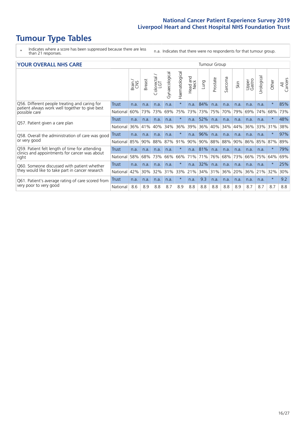# **Tumour Type Tables**

- \* Indicates where a score has been suppressed because there are less than 21 responses.
- n.a. Indicates that there were no respondents for that tumour group.

| <b>YOUR OVERALL NHS CARE</b> |  |
|------------------------------|--|
|------------------------------|--|

| YOUR OVERALL NHS CARE                                                       |              |       |               |                                                        |                |                |                         | <b>Tumour Group</b> |          |         |      |                 |            |          |                |  |  |  |
|-----------------------------------------------------------------------------|--------------|-------|---------------|--------------------------------------------------------|----------------|----------------|-------------------------|---------------------|----------|---------|------|-----------------|------------|----------|----------------|--|--|--|
|                                                                             |              | Brain | <b>Breast</b> | $\overline{\phantom{0}}$<br>olorectal<br>LGT<br>$\cup$ | Gynaecological | Haematological | aad and<br>Neck<br>Head | Lung                | Prostate | Sarcoma | Skin | Upper<br>Gastro | Urological | Other    | All<br>Cancers |  |  |  |
| Q56. Different people treating and caring for                               | Trust        | n.a.  | n.a.          | n.a.                                                   | n.a.           | $\star$        | n.a.                    | 84%                 | n.a.     | n.a.    | n.a. | n.a.            | n.a.       | $\ast$   | 85%            |  |  |  |
| patient always work well together to give best<br>possible care             | National     | 60%   | 73%           | 73%                                                    | 69%            | 75%            | 73%                     | 73%                 | 75%      | 70%     | 79%  | 69%             | 74%        | 68%      | 73%            |  |  |  |
| Q57. Patient given a care plan                                              | <b>Trust</b> | n.a.  | n.a.          | n.a.                                                   | n.a.           |                | n.a.                    | 52%                 | n.a.     | n.a.    | n.a. | n.a.            | n.a.       | $\ast$   | 48%            |  |  |  |
|                                                                             | National     | 36%   | 41%           | 40%                                                    | 34%            | 36%            | 39%                     | 36%                 | 40%      | 34%     | 44%  | 36%             | 33%        | 31%      | 38%            |  |  |  |
| Q58. Overall the administration of care was good                            | Trust        | n.a.  | n.a.          | n.a.                                                   | n.a.           |                | n.a.                    | 96%                 | n.a.     | n.a.    | n.a. | n.a.            | n.a.       | $\ast$   | 97%            |  |  |  |
| or very good                                                                | National     | 85%   | 90%           | 88%                                                    | 87%            | 91%            | 90%                     | 90%                 | 88%      | 88%     | 90%  | 86%             | 85%        | 87%      | 89%            |  |  |  |
| Q59. Patient felt length of time for attending                              | <b>Trust</b> | n.a.  | n.a.          | n.a.                                                   | n.a.           |                |                         | n.a. 81%            | n.a.     | n.a.    | n.a. | n.a.            | n.a.       | $^\star$ | 79%            |  |  |  |
| clinics and appointments for cancer was about<br>right                      | National     | 58%   | 68%           | 73%                                                    | 66%            | 66%            | 71%                     | 71%                 | 76%      | 68%     | 73%  | 66%             | 75%        | 64%      | 69%            |  |  |  |
| Q60. Someone discussed with patient whether                                 | Trust        | n.a.  | n.a.          | n.a.                                                   | n.a.           | $\star$        | n.a.                    | 32%                 | n.a.     | n.a.    | n.a. | n.a.            | n.a.       | $\ast$   | 25%            |  |  |  |
| they would like to take part in cancer research                             | National     | 42%   | 30%           | 32%                                                    | 31%            | 33%            | 21%                     | 34%                 | 31%      | 36%     | 20%  | 36%             | 21%        | 32%      | 30%            |  |  |  |
| Q61. Patient's average rating of care scored from<br>very poor to very good | Trust        | n.a.  | n.a.          | n.a.                                                   | n.a.           | $\ast$         | n.a.                    | 9.3                 | n.a.     | n.a.    | n.a. | n.a.            | n.a.       | $\star$  | 9.2            |  |  |  |
|                                                                             | National     | 8.6   | 8.9           | 8.8                                                    | 8.7            | 8.9            | 8.8                     | 8.8                 | 8.8      | 8.8     | 8.9  | 8.7             | 8.7        | 8.7      | 8.8            |  |  |  |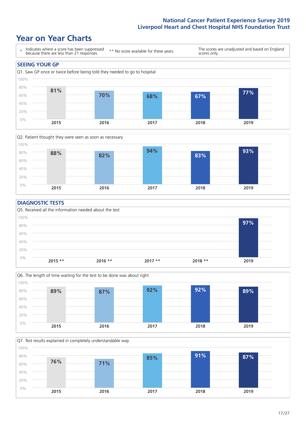### **Year on Year Charts**





#### **DIAGNOSTIC TESTS**





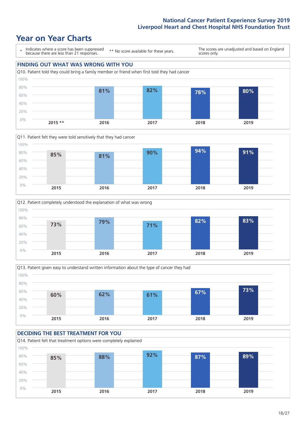### **Year on Year Charts**









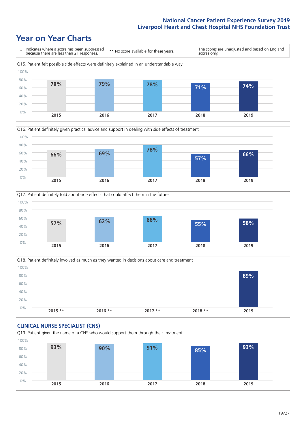### **Year on Year Charts**









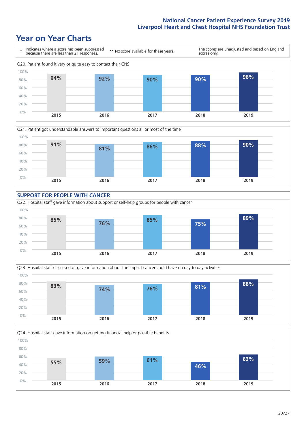### **Year on Year Charts**









![](_page_19_Figure_6.jpeg)

![](_page_19_Figure_7.jpeg)

 $20/27$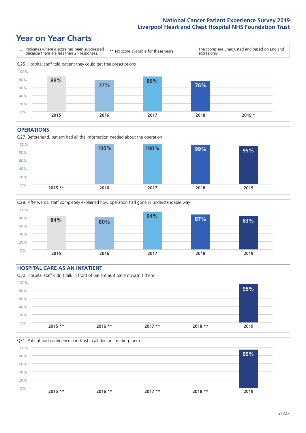### **Year on Year Charts**

![](_page_20_Figure_2.jpeg)

#### **OPERATIONS**

Q27. Beforehand, patient had all the information needed about the operation  $0%$ 20% 40% 60% 80% 100% **2015 \*\* 2016 2017 2018 2019 100% 100% 99% 95%**

![](_page_20_Figure_5.jpeg)

#### **HOSPITAL CARE AS AN INPATIENT** Q30. Hospital staff didn't talk in front of patient as if patient wasn't there 0% 20% 40% 60% 80% 100% **2015 \*\* 2016 \*\* 2017 \*\* 2018 \*\* 2019 95%**

![](_page_20_Figure_7.jpeg)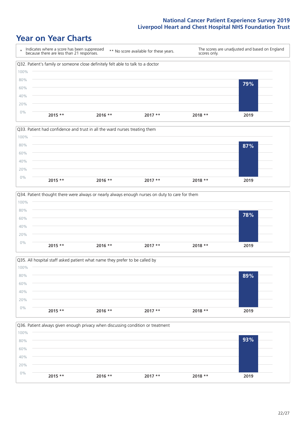### **Year on Year Charts**

![](_page_21_Figure_2.jpeg)

![](_page_21_Figure_3.jpeg)

![](_page_21_Figure_4.jpeg)

![](_page_21_Figure_5.jpeg)

![](_page_21_Figure_6.jpeg)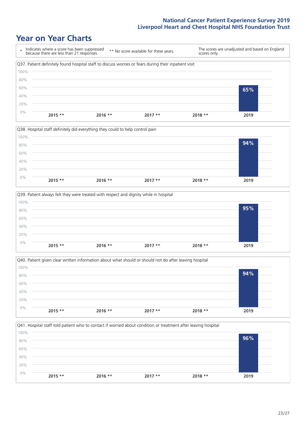### **Year on Year Charts**

![](_page_22_Figure_2.jpeg)

![](_page_22_Figure_3.jpeg)

![](_page_22_Figure_4.jpeg)

![](_page_22_Figure_5.jpeg)

![](_page_22_Figure_6.jpeg)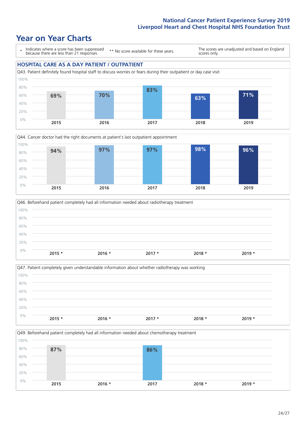### **Year on Year Charts**

\* Indicates where a score has been suppressed because there are less than 21 responses. \*\* No score available for these years. The scores are unadjusted and based on England scores only. **HOSPITAL CARE AS A DAY PATIENT / OUTPATIENT** Q43. Patient definitely found hospital staff to discuss worries or fears during their outpatient or day case visit 60% 80% 100% **83%**

![](_page_23_Figure_3.jpeg)

![](_page_23_Figure_4.jpeg)

![](_page_23_Figure_5.jpeg)

![](_page_23_Figure_6.jpeg)

Q49. Beforehand patient completely had all information needed about chemotherapy treatment 0% 20% 40% 60% 80% 100% **2015 2016 \* 2017 2018 \* 2019 \* 87% 86%**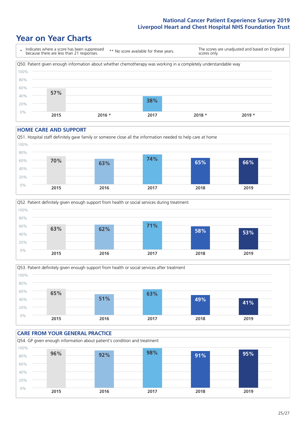### **Year on Year Charts**

![](_page_24_Figure_2.jpeg)

#### **HOME CARE AND SUPPORT**

![](_page_24_Figure_4.jpeg)

![](_page_24_Figure_5.jpeg)

![](_page_24_Figure_6.jpeg)

#### **CARE FROM YOUR GENERAL PRACTICE** Q54. GP given enough information about patient's condition and treatment 0% 20% 40% 60% 80% 100% **2015 2016 2017 2018 2019 96% 92% 98% 91% 95%**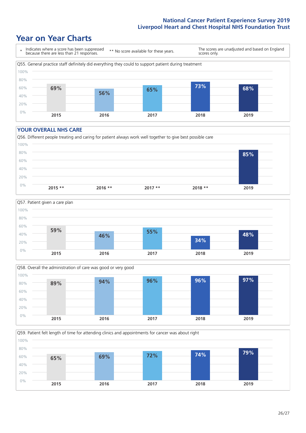### **Year on Year Charts**

![](_page_25_Figure_2.jpeg)

#### **YOUR OVERALL NHS CARE**

![](_page_25_Figure_4.jpeg)

![](_page_25_Figure_5.jpeg)

Q58. Overall the administration of care was good or very good 0% 20%  $40%$ 60% 80% 100% **2015 2016 2017 2018 2019 89% 94% 96% 96% 97%**

![](_page_25_Figure_7.jpeg)